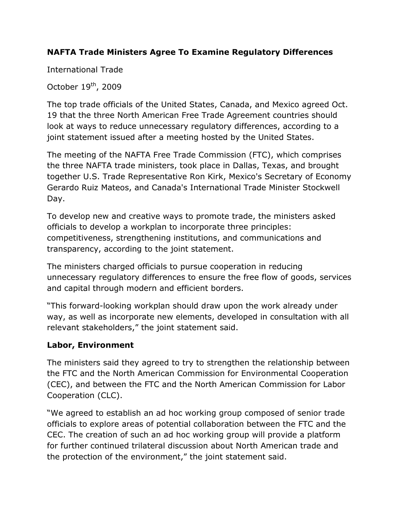## **NAFTA Trade Ministers Agree To Examine Regulatory Differences**

International Trade

October  $19<sup>th</sup>$ , 2009

The top trade officials of the United States, Canada, and Mexico agreed Oct. 19 that the three North American Free Trade Agreement countries should look at ways to reduce unnecessary regulatory differences, according to a joint statement issued after a meeting hosted by the United States.

The meeting of the NAFTA Free Trade Commission (FTC), which comprises the three NAFTA trade ministers, took place in Dallas, Texas, and brought together U.S. Trade Representative Ron Kirk, Mexico's Secretary of Economy Gerardo Ruiz Mateos, and Canada's International Trade Minister Stockwell Day.

To develop new and creative ways to promote trade, the ministers asked officials to develop a workplan to incorporate three principles: competitiveness, strengthening institutions, and communications and transparency, according to the joint statement.

The ministers charged officials to pursue cooperation in reducing unnecessary regulatory differences to ensure the free flow of goods, services and capital through modern and efficient borders.

"This forward-looking workplan should draw upon the work already under way, as well as incorporate new elements, developed in consultation with all relevant stakeholders," the joint statement said.

## **Labor, Environment**

The ministers said they agreed to try to strengthen the relationship between the FTC and the North American Commission for Environmental Cooperation (CEC), and between the FTC and the North American Commission for Labor Cooperation (CLC).

"We agreed to establish an ad hoc working group composed of senior trade officials to explore areas of potential collaboration between the FTC and the CEC. The creation of such an ad hoc working group will provide a platform for further continued trilateral discussion about North American trade and the protection of the environment," the joint statement said.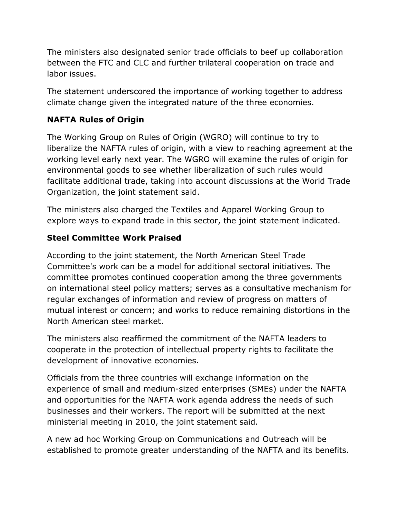The ministers also designated senior trade officials to beef up collaboration between the FTC and CLC and further trilateral cooperation on trade and labor issues.

The statement underscored the importance of working together to address climate change given the integrated nature of the three economies.

# **NAFTA Rules of Origin**

The Working Group on Rules of Origin (WGRO) will continue to try to liberalize the NAFTA rules of origin, with a view to reaching agreement at the working level early next year. The WGRO will examine the rules of origin for environmental goods to see whether liberalization of such rules would facilitate additional trade, taking into account discussions at the World Trade Organization, the joint statement said.

The ministers also charged the Textiles and Apparel Working Group to explore ways to expand trade in this sector, the joint statement indicated.

## **Steel Committee Work Praised**

According to the joint statement, the North American Steel Trade Committee's work can be a model for additional sectoral initiatives. The committee promotes continued cooperation among the three governments on international steel policy matters; serves as a consultative mechanism for regular exchanges of information and review of progress on matters of mutual interest or concern; and works to reduce remaining distortions in the North American steel market.

The ministers also reaffirmed the commitment of the NAFTA leaders to cooperate in the protection of intellectual property rights to facilitate the development of innovative economies.

Officials from the three countries will exchange information on the experience of small and medium-sized enterprises (SMEs) under the NAFTA and opportunities for the NAFTA work agenda address the needs of such businesses and their workers. The report will be submitted at the next ministerial meeting in 2010, the joint statement said.

A new ad hoc Working Group on Communications and Outreach will be established to promote greater understanding of the NAFTA and its benefits.